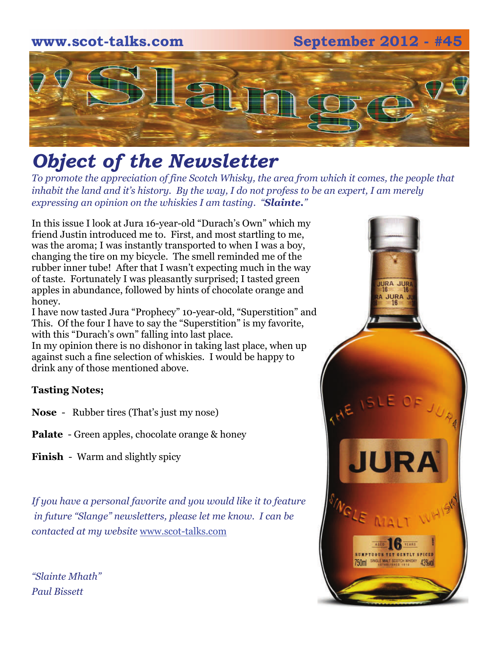

## *Object of the Newsletter*

*To promote the appreciation of fine Scotch Whisky, the area from which it comes, the people that inhabit the land and it's history. By the way, I do not profess to be an expert, I am merely expressing an opinion on the whiskies I am tasting. "Slainte."* 

In this issue I look at Jura 16-year-old "Durach's Own" which my friend Justin introduced me to. First, and most startling to me, was the aroma; I was instantly transported to when I was a boy, changing the tire on my bicycle. The smell reminded me of the rubber inner tube! After that I wasn't expecting much in the way of taste. Fortunately I was pleasantly surprised; I tasted green apples in abundance, followed by hints of chocolate orange and honey.

I have now tasted Jura "Prophecy" 10-year-old, "Superstition" and This. Of the four I have to say the "Superstition" is my favorite, with this "Durach's own" falling into last place.

In my opinion there is no dishonor in taking last place, when up against such a fine selection of whiskies. I would be happy to drink any of those mentioned above.

#### **Tasting Notes;**

- **Nose**  Rubber tires (That's just my nose)
- **Palate** Green apples, chocolate orange & honey
- **Finish**  Warm and slightly spicy

*If you have a personal favorite and you would like it to feature in future "Slange" newsletters, please let me know. I can be contacted at my website* [www.scot-talks.com](http://www.scot-talks.com/default.html)



*"Slainte Mhath" Paul Bissett*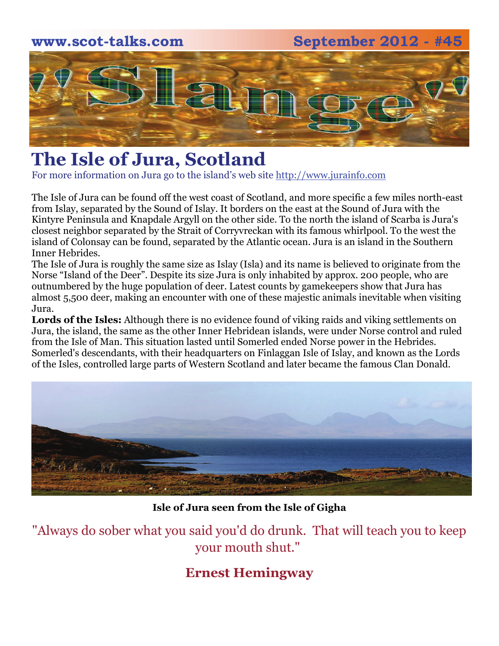# **www.scot-talks.com September 2012 - #45** Laur

### **The Isle of Jura, Scotland**

For more information on Jura go to the island's web site [http://www.jurainfo.com](http://www.jurainfo.com/)

The Isle of Jura can be found off the west coast of [Scotland,](http://www.scotlandinfo.eu/) and more specific a few miles north-east from [Islay,](http://www.islayinfo.com/) separated by the Sound of Islay. It borders on the east at the Sound of Jura with the Kintyre Peninsula and Knapdale Argyll on the other side. To the north the island of [Scarba](http://www.southernhebrides.com/isle-of-scarba.html) is Jura's closest neighbor separated by the Strait of Corryvreckan with its famous whirlpool. To the west the island of Colonsay can be found, separated by the Atlantic ocean. Jura is an island in the [Southern](http://www.southernhebrides.com/)  [Inner Hebrides.](http://www.southernhebrides.com/)

The Isle of Jura is roughly the same size as Islay (Isla) and its name is believed to originate from the Norse "Island of the Deer". Despite its size Jura is only inhabited by approx. 200 people, who are outnumbered by the huge population of deer. Latest counts by gamekeepers show that Jura has almost 5,500 deer, making an encounter with one of these majestic animals inevitable when visiting Jura.

**Lords of the Isles:** Although there is no evidence found of viking raids and viking settlements on Jura, the island, the same as the other Inner Hebridean islands, were under Norse control and ruled from the Isle of Man. This situation lasted until Somerled ended Norse power in the Hebrides. Somerled's descendants, with their headquarters on [Finlaggan](http://www.islayinfo.com/islay_finlaggan_lords_of_the_isles.html) Isle of [Islay](http://www.islayinfo.com/), and known as the Lords of the Isles, controlled large parts of Western Scotland and later became the famous Clan Donald.



**Isle of Jura seen from the Isle of Gigha**

"Always do sober what you said you'd do drunk. That will teach you to keep your mouth shut."

#### **Ernest Hemingway**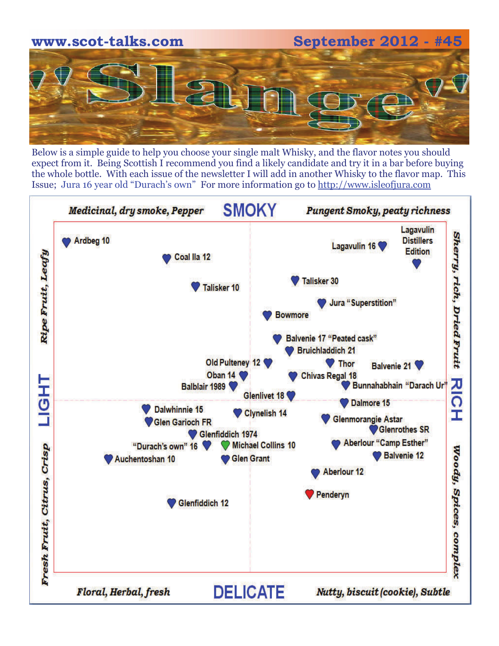

Below is a simple guide to help you choose your single malt Whisky, and the flavor notes you should expect from it. Being Scottish I recommend you find a likely candidate and try it in a bar before buying the whole bottle. With each issue of the newsletter I will add in another Whisky to the flavor map. This Issue; Jura 16 year old "Durach's own" For more information go to [http://www.isleofjura.com](http://www.isleofjura.com/)